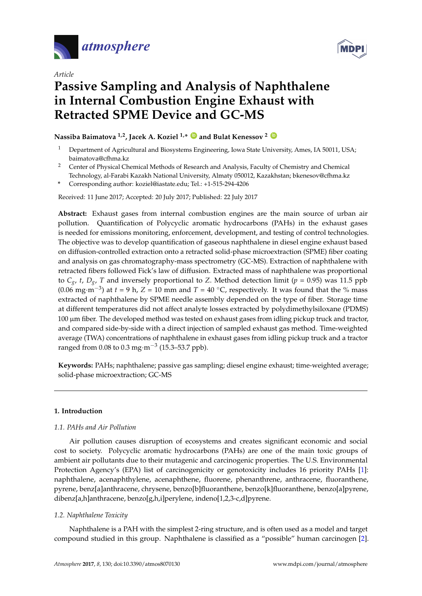

*Article*



# **Passive Sampling and Analysis of Naphthalene in Internal Combustion Engine Exhaust with Retracted SPME Device and GC-MS**

## **Nassiba Baimatova 1,2, Jacek A. Koziel 1,\* [ID](https://orcid.org/0000-0002-2387-0354) and Bulat Kenessov <sup>2</sup> [ID](https://orcid.org/0000-0001-8541-0903)**

- <sup>1</sup> Department of Agricultural and Biosystems Engineering, Iowa State University, Ames, IA 50011, USA; baimatova@cfhma.kz
- <sup>2</sup> Center of Physical Chemical Methods of Research and Analysis, Faculty of Chemistry and Chemical Technology, al-Farabi Kazakh National University, Almaty 050012, Kazakhstan; bkenesov@cfhma.kz
- **\*** Corresponding author: koziel@iastate.edu; Tel.: +1-515-294-4206

Received: 11 June 2017; Accepted: 20 July 2017; Published: 22 July 2017

**Abstract:** Exhaust gases from internal combustion engines are the main source of urban air pollution. Quantification of Polycyclic aromatic hydrocarbons (PAHs) in the exhaust gases is needed for emissions monitoring, enforcement, development, and testing of control technologies. The objective was to develop quantification of gaseous naphthalene in diesel engine exhaust based on diffusion-controlled extraction onto a retracted solid-phase microextraction (SPME) fiber coating and analysis on gas chromatography-mass spectrometry (GC-MS). Extraction of naphthalene with retracted fibers followed Fick's law of diffusion. Extracted mass of naphthalene was proportional to  $C_g$ , *t*,  $D_g$ , *T* and inversely proportional to *Z*. Method detection limit ( $p = 0.95$ ) was 11.5 ppb (0.06 mg·m<sup>-3</sup>) at  $t = 9$  h,  $Z = 10$  mm and  $T = 40$  °C, respectively. It was found that the % mass extracted of naphthalene by SPME needle assembly depended on the type of fiber. Storage time at different temperatures did not affect analyte losses extracted by polydimethylsiloxane (PDMS) 100 µm fiber. The developed method was tested on exhaust gases from idling pickup truck and tractor, and compared side-by-side with a direct injection of sampled exhaust gas method. Time-weighted average (TWA) concentrations of naphthalene in exhaust gases from idling pickup truck and a tractor ranged from 0.08 to 0.3 mg·m<sup>-3</sup> (15.3–53.7 ppb).

**Keywords:** PAHs; naphthalene; passive gas sampling; diesel engine exhaust; time-weighted average; solid-phase microextraction; GC-MS

## **1. Introduction**

## *1.1. PAHs and Air Pollution*

Air pollution causes disruption of ecosystems and creates significant economic and social cost to society. Polycyclic aromatic hydrocarbons (PAHs) are one of the main toxic groups of ambient air pollutants due to their mutagenic and carcinogenic properties. The U.S. Environmental Protection Agency's (EPA) list of carcinogenicity or genotoxicity includes 16 priority PAHs [\[1\]](#page-13-0): naphthalene, acenaphthylene, acenaphthene, fluorene, phenanthrene, anthracene, fluoranthene, pyrene, benz[a]anthracene, chrysene, benzo[b]fluoranthene, benzo[k]fluoranthene, benzo[a]pyrene, dibenz[a,h]anthracene, benzo[g,h,i]perylene, indeno[1,2,3-c,d]pyrene.

## *1.2. Naphthalene Toxicity*

Naphthalene is a PAH with the simplest 2-ring structure, and is often used as a model and target compound studied in this group. Naphthalene is classified as a "possible" human carcinogen [\[2\]](#page-13-1).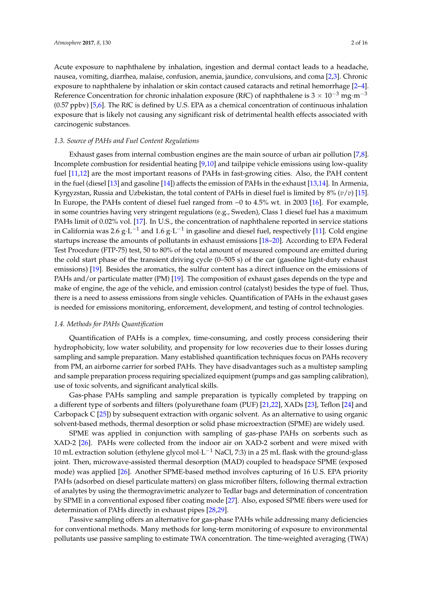Acute exposure to naphthalene by inhalation, ingestion and dermal contact leads to a headache, nausea, vomiting, diarrhea, malaise, confusion, anemia, jaundice, convulsions, and coma [\[2,](#page-13-1)[3\]](#page-13-2). Chronic exposure to naphthalene by inhalation or skin contact caused cataracts and retinal hemorrhage [\[2–](#page-13-1)[4\]](#page-13-3). Reference Concentration for chronic inhalation exposure (RfC) of naphthalene is  $3 \times 10^{-3}$  mg·m<sup>-3</sup> (0.57 ppbv) [\[5](#page-13-4)[,6\]](#page-13-5). The RfC is defined by U.S. EPA as a chemical concentration of continuous inhalation exposure that is likely not causing any significant risk of detrimental health effects associated with carcinogenic substances.

#### *1.3. Source of PAHs and Fuel Content Regulations*

Exhaust gases from internal combustion engines are the main source of urban air pollution [\[7,](#page-13-6)[8\]](#page-13-7). Incomplete combustion for residential heating [\[9,](#page-13-8)[10\]](#page-13-9) and tailpipe vehicle emissions using low-quality fuel [\[11](#page-13-10)[,12\]](#page-13-11) are the most important reasons of PAHs in fast-growing cities. Also, the PAH content in the fuel (diesel [\[13\]](#page-13-12) and gasoline [\[14\]](#page-13-13)) affects the emission of PAHs in the exhaust [\[13,](#page-13-12)[14\]](#page-13-13). In Armenia, Kyrgyzstan, Russia and Uzbekistan, the total content of PAHs in diesel fuel is limited by 8% (*v*/*v*) [\[15\]](#page-13-14). In Europe, the PAHs content of diesel fuel ranged from ~0 to 4.5% wt. in 2003 [\[16\]](#page-13-15). For example, in some countries having very stringent regulations (e.g., Sweden), Class 1 diesel fuel has a maximum PAHs limit of 0.02% vol. [\[17\]](#page-13-16). In U.S., the concentration of naphthalene reported in service stations in California was 2.6  $\rm g \cdot L^{-1}$  and 1.6  $\rm g \cdot L^{-1}$  in gasoline and diesel fuel, respectively [\[11\]](#page-13-10). Cold engine startups increase the amounts of pollutants in exhaust emissions [\[18](#page-13-17)[–20\]](#page-13-18). According to EPA Federal Test Procedure (FTP-75) test, 50 to 80% of the total amount of measured compound are emitted during the cold start phase of the transient driving cycle (0–505 s) of the car (gasoline light-duty exhaust emissions) [\[19\]](#page-13-19). Besides the aromatics, the sulfur content has a direct influence on the emissions of PAHs and/or particulate matter (PM) [\[19\]](#page-13-19). The composition of exhaust gases depends on the type and make of engine, the age of the vehicle, and emission control (catalyst) besides the type of fuel. Thus, there is a need to assess emissions from single vehicles. Quantification of PAHs in the exhaust gases is needed for emissions monitoring, enforcement, development, and testing of control technologies.

#### *1.4. Methods for PAHs Quantification*

Quantification of PAHs is a complex, time-consuming, and costly process considering their hydrophobicity, low water solubility, and propensity for low recoveries due to their losses during sampling and sample preparation. Many established quantification techniques focus on PAHs recovery from PM, an airborne carrier for sorbed PAHs. They have disadvantages such as a multistep sampling and sample preparation process requiring specialized equipment (pumps and gas sampling calibration), use of toxic solvents, and significant analytical skills.

Gas-phase PAHs sampling and sample preparation is typically completed by trapping on a different type of sorbents and filters (polyurethane foam (PUF) [\[21](#page-14-0)[,22\]](#page-14-1), XADs [\[23\]](#page-14-2), Teflon [\[24\]](#page-14-3) and Carbopack C [\[25\]](#page-14-4)) by subsequent extraction with organic solvent. As an alternative to using organic solvent-based methods, thermal desorption or solid phase microextraction (SPME) are widely used.

SPME was applied in conjunction with sampling of gas-phase PAHs on sorbents such as XAD-2 [\[26\]](#page-14-5). PAHs were collected from the indoor air on XAD-2 sorbent and were mixed with 10 mL extraction solution (ethylene glycol mol $\cdot$ L<sup>-1</sup> NaCl, 7:3) in a 25 mL flask with the ground-glass joint. Then, microwave-assisted thermal desorption (MAD) coupled to headspace SPME (exposed mode) was applied [\[26\]](#page-14-5). Another SPME-based method involves capturing of 16 U.S. EPA priority PAHs (adsorbed on diesel particulate matters) on glass microfiber filters, following thermal extraction of analytes by using the thermogravimetric analyzer to Tedlar bags and determination of concentration by SPME in a conventional exposed fiber coating mode [\[27\]](#page-14-6). Also, exposed SPME fibers were used for determination of PAHs directly in exhaust pipes [\[28](#page-14-7)[,29\]](#page-14-8).

Passive sampling offers an alternative for gas-phase PAHs while addressing many deficiencies for conventional methods. Many methods for long-term monitoring of exposure to environmental pollutants use passive sampling to estimate TWA concentration. The time-weighted averaging (TWA)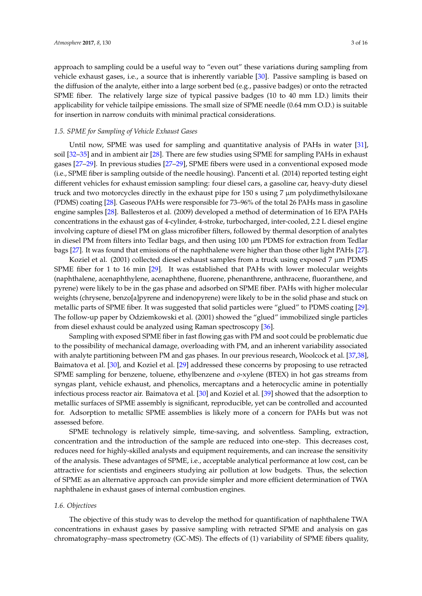approach to sampling could be a useful way to "even out" these variations during sampling from vehicle exhaust gases, i.e., a source that is inherently variable [\[30\]](#page-14-9). Passive sampling is based on the diffusion of the analyte, either into a large sorbent bed (e.g., passive badges) or onto the retracted SPME fiber. The relatively large size of typical passive badges (10 to 40 mm I.D.) limits their applicability for vehicle tailpipe emissions. The small size of SPME needle (0.64 mm O.D.) is suitable for insertion in narrow conduits with minimal practical considerations.

#### *1.5. SPME for Sampling of Vehicle Exhaust Gases*

Until now, SPME was used for sampling and quantitative analysis of PAHs in water [\[31\]](#page-14-10), soil [\[32–](#page-14-11)[35\]](#page-14-12) and in ambient air [\[28\]](#page-14-7). There are few studies using SPME for sampling PAHs in exhaust gases [\[27–](#page-14-6)[29\]](#page-14-8). In previous studies [\[27](#page-14-6)[–29\]](#page-14-8), SPME fibers were used in a conventional exposed mode (i.e., SPME fiber is sampling outside of the needle housing). Pancenti et al. (2014) reported testing eight different vehicles for exhaust emission sampling: four diesel cars, a gasoline car, heavy-duty diesel truck and two motorcycles directly in the exhaust pipe for 150 s using 7 µm polydimethylsiloxane (PDMS) coating [\[28\]](#page-14-7). Gaseous PAHs were responsible for 73–96% of the total 26 PAHs mass in gasoline engine samples [\[28\]](#page-14-7). Ballesteros et al. (2009) developed a method of determination of 16 EPA PAHs concentrations in the exhaust gas of 4-cylinder, 4-stroke, turbocharged, inter-cooled, 2.2 L diesel engine involving capture of diesel PM on glass microfiber filters, followed by thermal desorption of analytes in diesel PM from filters into Tedlar bags, and then using  $100 \mu m$  PDMS for extraction from Tedlar bags [\[27\]](#page-14-6). It was found that emissions of the naphthalene were higher than those other light PAHs [\[27\]](#page-14-6).

Koziel et al. (2001) collected diesel exhaust samples from a truck using exposed 7  $\mu$ m PDMS SPME fiber for 1 to 16 min [\[29\]](#page-14-8). It was established that PAHs with lower molecular weights (naphthalene, acenaphthylene, acenaphthene, fluorene, phenanthrene, anthracene, fluoranthene, and pyrene) were likely to be in the gas phase and adsorbed on SPME fiber. PAHs with higher molecular weights (chrysene, benzo[a]pyrene and indenopyrene) were likely to be in the solid phase and stuck on metallic parts of SPME fiber. It was suggested that solid particles were "glued" to PDMS coating [\[29\]](#page-14-8). The follow-up paper by Odziemkowski et al. (2001) showed the "glued" immobilized single particles from diesel exhaust could be analyzed using Raman spectroscopy [\[36\]](#page-14-13).

Sampling with exposed SPME fiber in fast flowing gas with PM and soot could be problematic due to the possibility of mechanical damage, overloading with PM, and an inherent variability associated with analyte partitioning between PM and gas phases. In our previous research, Woolcock et al. [\[37](#page-14-14)[,38\]](#page-14-15), Baimatova et al. [\[30\]](#page-14-9), and Koziel et al. [\[29\]](#page-14-8) addressed these concerns by proposing to use retracted SPME sampling for benzene, toluene, ethylbenzene and *o*-xylene (BTEX) in hot gas streams from syngas plant, vehicle exhaust, and phenolics, mercaptans and a heterocyclic amine in potentially infectious process reactor air. Baimatova et al. [\[30\]](#page-14-9) and Koziel et al. [\[39\]](#page-15-0) showed that the adsorption to metallic surfaces of SPME assembly is significant, reproducible, yet can be controlled and accounted for. Adsorption to metallic SPME assemblies is likely more of a concern for PAHs but was not assessed before.

SPME technology is relatively simple, time-saving, and solventless. Sampling, extraction, concentration and the introduction of the sample are reduced into one-step. This decreases cost, reduces need for highly-skilled analysts and equipment requirements, and can increase the sensitivity of the analysis. These advantages of SPME, i.e., acceptable analytical performance at low cost, can be attractive for scientists and engineers studying air pollution at low budgets. Thus, the selection of SPME as an alternative approach can provide simpler and more efficient determination of TWA naphthalene in exhaust gases of internal combustion engines.

#### *1.6. Objectives*

The objective of this study was to develop the method for quantification of naphthalene TWA concentrations in exhaust gases by passive sampling with retracted SPME and analysis on gas chromatography–mass spectrometry (GC-MS). The effects of (1) variability of SPME fibers quality,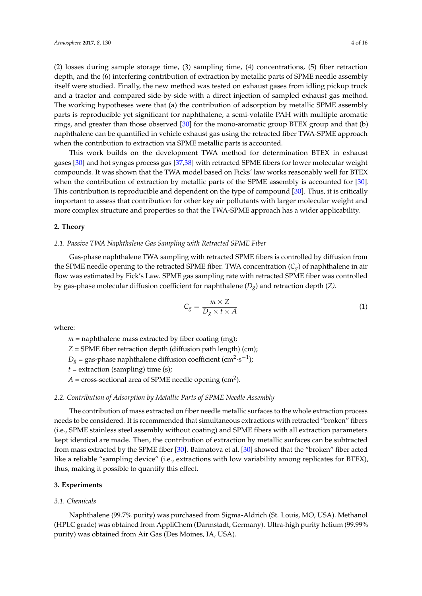(2) losses during sample storage time, (3) sampling time, (4) concentrations, (5) fiber retraction depth, and the (6) interfering contribution of extraction by metallic parts of SPME needle assembly itself were studied. Finally, the new method was tested on exhaust gases from idling pickup truck and a tractor and compared side-by-side with a direct injection of sampled exhaust gas method. The working hypotheses were that (a) the contribution of adsorption by metallic SPME assembly parts is reproducible yet significant for naphthalene, a semi-volatile PAH with multiple aromatic rings, and greater than those observed [\[30\]](#page-14-9) for the mono-aromatic group BTEX group and that (b) naphthalene can be quantified in vehicle exhaust gas using the retracted fiber TWA-SPME approach when the contribution to extraction via SPME metallic parts is accounted.

This work builds on the development TWA method for determination BTEX in exhaust gases [\[30\]](#page-14-9) and hot syngas process gas [\[37](#page-14-14)[,38\]](#page-14-15) with retracted SPME fibers for lower molecular weight compounds. It was shown that the TWA model based on Ficks' law works reasonably well for BTEX when the contribution of extraction by metallic parts of the SPME assembly is accounted for [\[30\]](#page-14-9). This contribution is reproducible and dependent on the type of compound [\[30\]](#page-14-9). Thus, it is critically important to assess that contribution for other key air pollutants with larger molecular weight and more complex structure and properties so that the TWA-SPME approach has a wider applicability.

#### **2. Theory**

#### *2.1. Passive TWA Naphthalene Gas Sampling with Retracted SPME Fiber*

Gas-phase naphthalene TWA sampling with retracted SPME fibers is controlled by diffusion from the SPME needle opening to the retracted SPME fiber. TWA concentration (*Cg*) of naphthalene in air flow was estimated by Fick's Law. SPME gas sampling rate with retracted SPME fiber was controlled by gas-phase molecular diffusion coefficient for naphthalene (*Dg*) and retraction depth (*Z)*.

$$
C_g = \frac{m \times Z}{D_g \times t \times A} \tag{1}
$$

where:

*m* = naphthalene mass extracted by fiber coating (mg);

*Z* = SPME fiber retraction depth (diffusion path length) (cm);

 $D_g$  = gas-phase naphthalene diffusion coefficient (cm<sup>2</sup>·s<sup>-1</sup>);

 $t =$  extraction (sampling) time (s);

 $A = \text{cross-sectional area of SPME needle opening (cm}^2).$ 

#### *2.2. Contribution of Adsorption by Metallic Parts of SPME Needle Assembly*

The contribution of mass extracted on fiber needle metallic surfaces to the whole extraction process needs to be considered. It is recommended that simultaneous extractions with retracted "broken" fibers (i.e., SPME stainless steel assembly without coating) and SPME fibers with all extraction parameters kept identical are made. Then, the contribution of extraction by metallic surfaces can be subtracted from mass extracted by the SPME fiber [\[30\]](#page-14-9). Baimatova et al. [\[30\]](#page-14-9) showed that the "broken" fiber acted like a reliable "sampling device" (i.e., extractions with low variability among replicates for BTEX), thus, making it possible to quantify this effect.

#### **3. Experiments**

#### *3.1. Chemicals*

Naphthalene (99.7% purity) was purchased from Sigma-Aldrich (St. Louis, MO, USA). Methanol (HPLC grade) was obtained from AppliChem (Darmstadt, Germany). Ultra-high purity helium (99.99% purity) was obtained from Air Gas (Des Moines, IA, USA).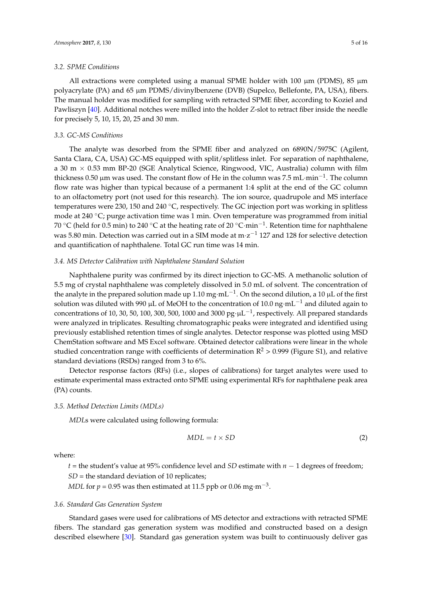#### *3.2. SPME Conditions*

All extractions were completed using a manual SPME holder with 100  $\mu$ m (PDMS), 85  $\mu$ m polyacrylate (PA) and 65 µm PDMS/divinylbenzene (DVB) (Supelco, Bellefonte, PA, USA), fibers. The manual holder was modified for sampling with retracted SPME fiber, according to Koziel and Pawliszyn [\[40\]](#page-15-1). Additional notches were milled into the holder *Z*-slot to retract fiber inside the needle for precisely 5, 10, 15, 20, 25 and 30 mm.

## <span id="page-4-0"></span>*3.3. GC-MS Conditions*

The analyte was desorbed from the SPME fiber and analyzed on 6890N/5975C (Agilent, Santa Clara, CA, USA) GC-MS equipped with split/splitless inlet. For separation of naphthalene, a 30 m  $\times$  0.53 mm BP-20 (SGE Analytical Science, Ringwood, VIC, Australia) column with film thickness 0.50 µm was used. The constant flow of He in the column was 7.5 mL·min−<sup>1</sup> . The column flow rate was higher than typical because of a permanent 1:4 split at the end of the GC column to an olfactometry port (not used for this research). The ion source, quadrupole and MS interface temperatures were 230, 150 and 240 ◦C, respectively. The GC injection port was working in splitless mode at 240  $\degree$ C; purge activation time was 1 min. Oven temperature was programmed from initial 70 °C (held for 0.5 min) to 240 °C at the heating rate of 20 °C·min<sup>-1</sup>. Retention time for naphthalene was 5.80 min. Detection was carried out in a SIM mode at  $m·z^{-1}$  127 and 128 for selective detection and quantification of naphthalene. Total GC run time was 14 min.

#### *3.4. MS Detector Calibration with Naphthalene Standard Solution*

Naphthalene purity was confirmed by its direct injection to GC-MS. A methanolic solution of 5.5 mg of crystal naphthalene was completely dissolved in 5.0 mL of solvent. The concentration of the analyte in the prepared solution made up 1.10 mg·mL<sup>-1</sup>. On the second dilution, a 10 µL of the first solution was diluted with 990 µL of MeOH to the concentration of 10.0 ng·mL<sup>-1</sup> and diluted again to concentrations of 10, 30, 50, 100, 300, 500, 1000 and 3000  $pg \cdot \mu L^{-1}$ , respectively. All prepared standards were analyzed in triplicates. Resulting chromatographic peaks were integrated and identified using previously established retention times of single analytes. Detector response was plotted using MSD ChemStation software and MS Excel software. Obtained detector calibrations were linear in the whole studied concentration range with coefficients of determination  $R^2 > 0.999$  (Figure S1), and relative standard deviations (RSDs) ranged from 3 to 6%.

Detector response factors (RFs) (i.e., slopes of calibrations) for target analytes were used to estimate experimental mass extracted onto SPME using experimental RFs for naphthalene peak area (PA) counts.

#### *3.5. Method Detection Limits (MDLs)*

*MDL*s were calculated using following formula:

$$
MDL = t \times SD \tag{2}
$$

where:

*t* = the student's value at 95% confidence level and *SD* estimate with *n* − 1 degrees of freedom; *SD* = the standard deviation of 10 replicates;

*MDL* for  $p = 0.95$  was then estimated at 11.5 ppb or 0.06 mg·m<sup>-3</sup>.

#### *3.6. Standard Gas Generation System*

Standard gases were used for calibrations of MS detector and extractions with retracted SPME fibers. The standard gas generation system was modified and constructed based on a design described elsewhere [\[30\]](#page-14-9). Standard gas generation system was built to continuously deliver gas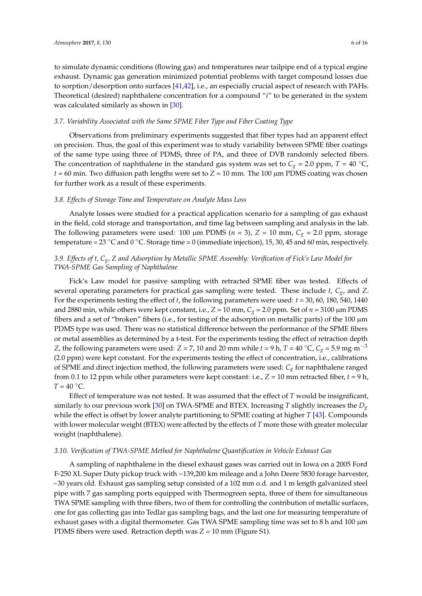to simulate dynamic conditions (flowing gas) and temperatures near tailpipe end of a typical engine exhaust. Dynamic gas generation minimized potential problems with target compound losses due to sorption/desorption onto surfaces [\[41,](#page-15-2)[42\]](#page-15-3), i.e., an especially crucial aspect of research with PAHs. Theoretical (desired) naphthalene concentration for a compound "*i*" to be generated in the system was calculated similarly as shown in [\[30\]](#page-14-9).

#### *3.7. Variability Associated with the Same SPME Fiber Type and Fiber Coating Type*

Observations from preliminary experiments suggested that fiber types had an apparent effect on precision. Thus, the goal of this experiment was to study variability between SPME fiber coatings of the same type using three of PDMS, three of PA, and three of DVB randomly selected fibers. The concentration of naphthalene in the standard gas system was set to  $C_g = 2.0$  ppm,  $T = 40$  °C,  $t = 60$  min. Two diffusion path lengths were set to  $Z = 10$  mm. The 100  $\mu$ m PDMS coating was chosen for further work as a result of these experiments.

#### *3.8. Effects of Storage Time and Temperature on Analyte Mass Loss*

Analyte losses were studied for a practical application scenario for a sampling of gas exhaust in the field, cold storage and transportation, and time lag between sampling and analysis in the lab. The following parameters were used: 100  $\mu$ m PDMS (*n* = 3), *Z* = 10 mm, *C<sub>g</sub>* = 2.0 ppm, storage temperature = 23 °C and 0 °C. Storage time = 0 (immediate injection), 15, 30, 45 and 60 min, respectively.

## *3.9. Effects of t, Cg, Z and Adsorption by Metallic SPME Assembly: Verification of Fick's Law Model for TWA-SPME Gas Sampling of Naphthalene*

Fick's Law model for passive sampling with retracted SPME fiber was tested. Effects of several operating parameters for practical gas sampling were tested. These include *t*, *Cg*, and *Z*. For the experiments testing the effect of *t*, the following parameters were used: *t* = 30, 60, 180, 540, 1440 and 2880 min, while others were kept constant, i.e.,  $Z = 10$  mm,  $C_g = 2.0$  ppm. Set of  $n = 3100$  µm PDMS fibers and a set of "broken" fibers (i.e., for testing of the adsorption on metallic parts) of the  $100 \mu m$ PDMS type was used. There was no statistical difference between the performance of the SPME fibers or metal assemblies as determined by a t-test. For the experiments testing the effect of retraction depth *Z*, the following parameters were used: *Z* = 7, 10 and 20 mm while  $t = 9$  h,  $T = 40$  °C,  $C_g = 5.9$  mg·m<sup>-3</sup> (2.0 ppm) were kept constant. For the experiments testing the effect of concentration, i.e., calibrations of SPME and direct injection method, the following parameters were used: *Cg* for naphthalene ranged from 0.1 to 12 ppm while other parameters were kept constant: i.e.,  $Z = 10$  mm retracted fiber,  $t = 9$  h,  $T = 40 °C$ .

Effect of temperature was not tested. It was assumed that the effect of *T* would be insignificant, similarly to our previous work [\[30\]](#page-14-9) on TWA-SPME and BTEX. Increasing *T* slightly increases the *D<sup>g</sup>* while the effect is offset by lower analyte partitioning to SPME coating at higher *T* [\[43\]](#page-15-4). Compounds with lower molecular weight (BTEX) were affected by the effects of *T* more those with greater molecular weight (naphthalene).

#### *3.10. Verification of TWA-SPME Method for Naphthalene Quantification in Vehicle Exhaust Gas*

A sampling of naphthalene in the diesel exhaust gases was carried out in Iowa on a 2005 Ford F-250 XL Super Duty pickup truck with ~139,200 km mileage and a John Deere 5830 forage harvester, ~30 years old. Exhaust gas sampling setup consisted of a 102 mm o.d. and 1 m length galvanized steel pipe with 7 gas sampling ports equipped with Thermogreen septa, three of them for simultaneous TWA SPME sampling with three fibers, two of them for controlling the contribution of metallic surfaces, one for gas collecting gas into Tedlar gas sampling bags, and the last one for measuring temperature of exhaust gases with a digital thermometer. Gas TWA SPME sampling time was set to 8 h and 100 µm PDMS fibers were used. Retraction depth was *Z* = 10 mm (Figure S1).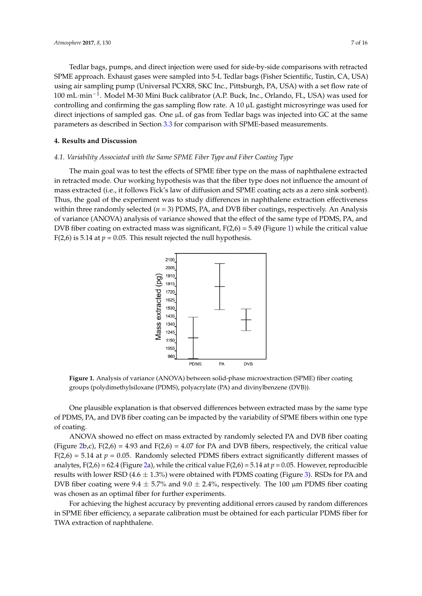Tedlar bags, pumps, and direct injection were used for side-by-side comparisons with retracted SPME approach. Exhaust gases were sampled into 5-L Tedlar bags (Fisher Scientific, Tustin, CA, USA) using air sampling pump (Universal PCXR8, SKC Inc., Pittsburgh, PA, USA) with a set flow rate of 100 mL·min−<sup>1</sup> . Model M-30 Mini Buck calibrator (A.P. Buck, Inc., Orlando, FL, USA) was used for controlling and confirming the gas sampling flow rate. A 10  $\mu$ L gastight microsyringe was used for direct injections of sampled gas. One µL of gas from Tedlar bags was injected into GC at the same parameters as described in Section [3.3](#page-4-0) for comparison with SPME-based measurements.

## **4. Results and Discussion 4. Results and Discussion**

## *4.1. Variability Associated with the Same SPME Fiber Type and Fiber Coating Type 4.1. Variability Associated with the Same SPME Fiber Type and Fiber Coating Type*

<span id="page-6-0"></span>The main goal was to test the effects of SPME fiber type on the mass of naphthalene extracted The main goal was to test the effects of SPME fiber type on the mass of naphthalene extracted in in retracted mode. Our working hypothesis was that the fiber type does not influence the amount of mass extracted (i.e., it follows Fick's law of diffusion and SPME coating acts as a zero sink sorbent). mass extracted (i.e., it follows Fick's law of diffusion and SPME coating acts as a zero sink sorbent). Thus, the goal of the experiment was to study differences in naphthalene extraction effectiveness Thus, the goal of the experiment was to study differences in naphthalene extraction effectiveness within three randomly selected (*n* = 3) PDMS, PA, and DVB fiber coatings, respectively. An Analysis within three randomly selected (*n* = 3) PDMS, PA, and DVB fiber coatings, respectively. An Analysis of variance (ANOVA) analysis of variance showed that the effect of the same type of PDMS, PA, and DVB fiber coating on extracted mass was significant, F(2,6) = 5.49 (Figure 1) while the critical value DVB fiber coating on extracted mass was significant, F(2,6) = 5.49 (Figure [1\)](#page-6-0) while the critical value  $F(2,6)$  is 5.14 at  $p = 0.05$ . This result rejected the null hypothesis.



**Figure 1.** Analysis of variance (ANOVA) between solid-phase microextraction (SPME) fiber coating **Figure 1.** Analysis of variance (ANOVA) between solid-phase microextraction (SPME) fiber coating groups (polydimethylsiloxane (PDMS), polyacrylate (PA) and divinylbenzene (DVB)). groups (polydimethylsiloxane (PDMS), polyacrylate (PA) and divinylbenzene (DVB)).

One plausible explanation is that observed differences between extracted mass by the same One plausible explanation is that observed differences between extracted mass by the same type<br> $\frac{1}{2}$ of PDMS, PA, and DVB fiber coating can be impacted by the variability of SPME fibers within one type ANOVA showed no effect on mass extracted by randomly selected PA and DVB fiber coating of coating.

ANOVA showed no effect on mass extracted by randomly selected PA and DVB fiber coating<br> $\sum_{n=1}^{\infty}$ (Figure [2b](#page-7-0),c),  $F(2,6) = 4.93$  and  $F(2,6) = 4.07$  for PA and DVB fibers, respectively, the critical value  $F(2,6) = 5.14$  at *p* = 0.05. Randomly selected PDMS fibers extract significantly different masses of analytes, F(2,6) = 62.4 (Figure [2a](#page-7-0)), while the critical value F(2,6) = 5.14 at *p* = 0.05. However, reproducible  $\frac{1}{2}$ results with lower RSD (4.6  $\pm$  1.3%) were obtained with PDMS coating (Figure [3\)](#page-7-1). RSDs for PA and  $R$ DVB fiber coating were  $9.4 \pm 5.7\%$  and  $9.0 \pm 2.4\%$ , respectively. The 100 µm PDMS fiber coating  $F_{\rm F}$  and  $F_{\rm F}$  and  $F_{\rm F}$  by preventing additional experiments. was chosen as an optimal fiber for further experiments.

For achieving the highest accuracy by preventing additional errors caused by random differences<br>in a space of the separate for each particular in a space of the separate of the space of the space of the space of the space PDMS fiber for TWA extraction of naphthalene. in SPME fiber efficiency, a separate calibration must be obtained for each particular PDMS fiber for TWA extraction of naphthalene.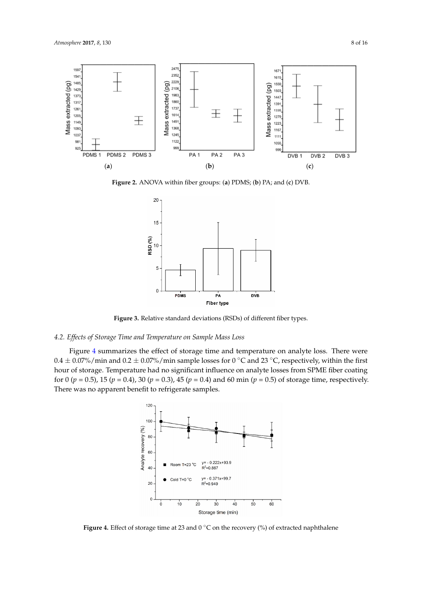<span id="page-7-0"></span>

<span id="page-7-1"></span>Figure 2. ANOVA within fiber groups: (a) PDMS; (b) PA; and (c) DVB.



Figure 3. Relative standard deviations (RSDs) of different fiber types.

## Figure 4 summarizes the effect of storage time and temperature on analyte loss. There were  $\frac{1}{2}$ *4.2. Effects of Storage Time and Temperature on Sample Mass Loss 4.2. Effects of Storage Time and Temperature on Sample Mass Loss 4.2. Effects of Storage Time and Temperature on Sample Mass Loss*

Figure 4 summarizes the effect of storage time and temperature on analyte loss. There  $w$  $0.4\pm0.07\%$ /min and  $0.2\pm0.07\%$ /min sample losses for 0 °C and 23 °C, respectively, within the first hour of storage. Temperature had no significant influence on analyte losses from SPME fiber coating for 0 ( $p = 0.5$ ), 15 ( $p = 0.4$ ), 30 ( $p = 0.3$ ), 45 ( $p = 0.4$ ) and 60 min ( $p = 0.5$ ) of storage time, respectively. Figure 4 summarizes the effect of storage time and temperature on analyte loss. There were There was no apparent benefit to refrigerate samples. was no apparent benefit to refrigerate samples.

<span id="page-7-2"></span>

Figure 4. Effect of storage time at 23 and  $0^{\circ}$ C on the recovery (%) of extracted naphthalene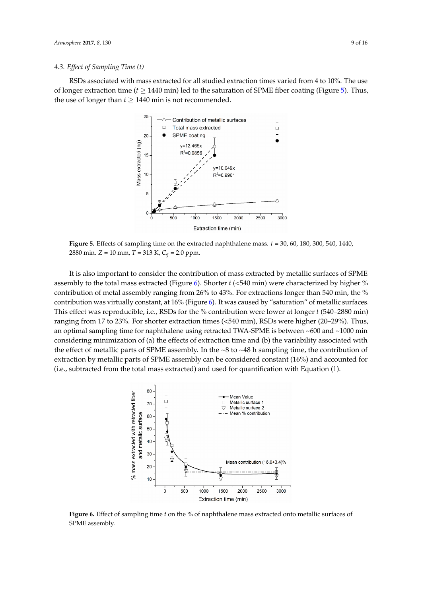#### *4.3. Effect of Sampling Time (t)*

RSDs associated with mass extracted for all studied extraction times varied from 4 to 10%. The use of longer extraction time ( $t \ge 1440$  min) led to the saturation of SPME fiber coating (Figure [5\)](#page-8-0). Thus, the use of longer than  $t \geq 1440$  min is not recommended.

<span id="page-8-0"></span>

Figure 5. Effects of sampling time on the extracted naphthalene mass.  $t = 30$ , 60, 180, 300, 540, 1440, 2880 min. *Z* = 10 mm, *T* = 313 K, *Cg* = 2.0 ppm. 2880 min. *Z* = 10 mm, *T* = 313 K, *Cg* = 2.0 ppm. *Z*  $\frac{1}{2}$  min. *Z*  $\frac{1}{2}$  *T* = 313 **C**<sub>*n*</sub> *T* = 313 **C**<sub>*n*</sub> *T* = 313 **C**<sub>*n*</sub> *C*<sub>*n*</sub> *C*<sub>*n*</sub> *C*<sub>*n*</sub> *T*</del> = 314 **C**<sub>*n*</sub> *C*<sub>*n*</sub> *C*<sub>*n*</sub> *C*<sub>*n*</sub> *C*<sub>*n*</sub> *C*<sub>*n*</sub> *C*<sub>*n*</sub> *C*<sub>*n*</sub> *C*<sub>*n*</sub> *C*<sub>*n*</sub> *C* 

It is also important to consider the contribution of mass extracted by metallic surfaces of SPME assembly to the total mass extracted (Figure 6). Shorter  $t$  (<540 min) were characterized by higher % contribution of metal assembly ranging from 26% to 43%. For extractions longer than 540 min, the % contribution was virtually constant, at 16% (Figure 6). It was caused by "saturation" of metallic surfaces. This effect was reproducible, i.e., RSDs for the % contribution were lower at longer t (540-2880 min) ranging from 17 to 23%. For shorter extraction times (<540 min), RSDs were higher (20-29%). Thus, an optimal sampling time for naphthalene using retracted TWA-SPME is between ~600 and ~1000 min considering minimization of (a) the effects of extraction time and (b) the variability associated with the effect of metallic parts of SPME assembly. In the ~8 to ~48 h sampling time, the contribution of extraction by metallic parts of SPME assembly can be considered constant (16%) and accounted for  $\alpha$  (i.e., subtracted from the total mass extracted) and used for quantification with Equation (1)  $(i.e., subtracted from the total mass extracted)$  and used for quantification with Equation  $(1).$ 

<span id="page-8-1"></span>

Figure 6. Effect of sampling time  $t$  on the % of naphthalene mass extracted onto metallic surfaces of SPME assembly. SPME assembly. SPME assembly.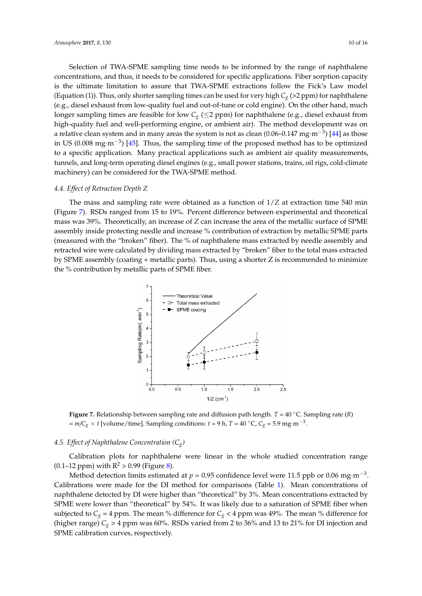Selection of TWA-SPME sampling time needs to be informed by the range of naphthalene concentrations, and thus, it needs to be considered for specific applications. Fiber sorption capacity is the ultimate limitation to assure that TWA-SPME extractions follow the Fick's Law model (Equation (1)). Thus, only shorter sampling times can be used for very high *Cg* (>2 ppm) for naphthalene (e.g., diesel exhaust from low-quality fuel and out-of-tune or cold engine). On the other hand, much longer sampling times are feasible for low  $C_g$  ( $\leq$ 2 ppm) for naphthalene (e.g., diesel exhaust from high-quality fuel and well-performing engine, or ambient air). The method development was on a relative clean system and in many areas the system is not as clean (0.06–0.147  $mg{\cdot}m^{-3}$ ) [44] as those in US (0.008 mg·m−<sup>3</sup> ) [45]. Thus, the sampling time of the proposed method has to be optimized to a specific application. Many practical applications such as ambient air quality measurements, tunnels, and long-term operating diesel engines (e.g., small power stations, trains, oil rigs, cold-climate machinery) can be considered for the TWA-SPME method. *Atmosphere Atmosphere Atmosphere and well-performing engine, or ambient air).* The method development was on a relative clean system and in many areas the system is not as clean  $(0.06-0.147 \text{ mg} \cdot \text{m}^{-3})$  [44] as tho

#### *4.4. Effect of Retraction Depth Z 4.4. Effect of Retraction Depth Z*

The mass and sampling rate were obtained as a function of 1/*Z* at extraction time 540 min The mass and sampling rate were obtained as a function of 1/*Z* at extraction time 540 min (Figure 7). RSDs ranged from 15 to 19%. Percent difference between experimental and theoretical (Figure [7\)](#page-9-0). RSDs ranged from 15 to 19%. Percent difference between experimental and theoretical<br>mass was 39%. Theoretically, an increase of Z can increase the area of the metallic surface of SPME assembly inside protecting needle and increase % contribution of extraction by metallic SPME parts assembly inside protecting needle and increase % contribution of extraction by metallic SPME parts<br>(measured with the "broken" fiber). The % of naphthalene mass extracted by needle assembly and retracted wire were calculated by dividing mass extracted by "broken" fiber to the total mass extracted by SPME assembly (coating + metallic parts). Thus, using a shorter Z is recommended to minimize the % contribution by metallic parts of SPME fiber. retracted wire were calculated by dividing mass extracted by "broken" fiber to the total mass extracted<br>by SPME assembly (coating + metallic parts). Thus, using a shorter Z is recommended to minimize<br>the % contribution by

<span id="page-9-0"></span>

Figure 7. Relationship between sampling rate and diffusion path length.  $T = 40$  °C. Sampling rate (R)  $= m/C_g \times t$  [volume/time]. Sampling conditions:  $t = 9$  h,  $T = 40$  °C,  $C_g = 5.9$  mg·m<sup>-3</sup>.

# *4.5. Effect of Naphthalene Concentration (Cg) 4.5. Effect of Naphthalene Concentration (Cg)*

Calibration plots for naphthalene were linear in the whole studied concentration range  $(0.1-12 \text{ ppm})$  with  $R^2 > 0.99$  (Figure [8\)](#page-10-0).

Method detection limits estimated at  $p = 0.95$  confidence level were 11.5 ppb or 0.06 mg·m<sup>-3</sup>. Calibrations were made for the DI method for comparisons (Table [1\)](#page-10-1). Mean concentrations of naphthalene detected by DI were higher than "theoretical" by 3%. Mean concentrations extracted by SPME were lower than "theoretical" by 54%. It was likely due to a saturation of SPME fiber when subjected to  $C_g = 4$  ppm. The mean % difference for  $C_g < 4$  ppm was 49%. The mean % difference for (higher range)  $C_g > 4$  ppm was 60%. RSDs varied from 2 to 36% and 13 to 21% for DI injection and SPME calibration curves, respectively.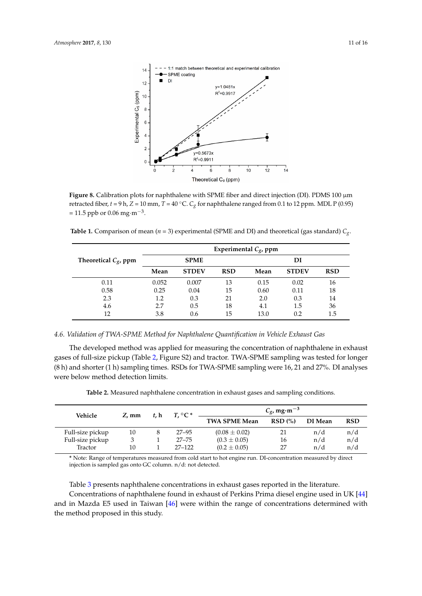<span id="page-10-0"></span>

**Figure 8.** Calibration plots for naphthalene with SPME fiber and direct injection (DI). PDMS 100 µm **Figure 8.** Calibration plots for naphthalene with SPME fiber and direct injection (DI). PDMS 100 µm retracted fiber,  $t = 9$  h,  $Z = 10$  mm,  $T = 40$  °C.  $C_g$  for naphthalene ranged from 0.1 to 12 ppm. MDL P (0.95) = 11.5 ppb or 0.06 mg·m<sup>-3</sup>.

<span id="page-10-1"></span>**Table 1.** Comparison of mean ( $n = 3$ ) experimental (SPME and DI) and theoretical (gas standard)  $C_g$ .

|                         | Experimental $C_g$ , ppm |              |            |      |              |            |  |
|-------------------------|--------------------------|--------------|------------|------|--------------|------------|--|
| Theoretical $C_g$ , ppm |                          | <b>SPME</b>  |            | DI   |              |            |  |
|                         | Mean                     | <b>STDEV</b> | <b>RSD</b> | Mean | <b>STDEV</b> | <b>RSD</b> |  |
| 0.11                    | 0.052                    | 0.007        | 13         | 0.15 | 0.02         | 16         |  |
| 0.58                    | 0.25                     | 0.04         | 15         | 0.60 | 0.11         | 18         |  |
| 2.3                     | 1.2                      | 0.3          | 21         | 2.0  | 0.3          | 14         |  |
| 4.6                     | 2.7                      | 0.5          | 18         | 4.1  | 1.5          | 36         |  |
| 12                      | 3.8                      | 0.6          | 15         | 13.0 | 0.2          | 1.5        |  |

#### *4.6. Validation of TWA-SPME Method for Naphthalene Quantification in Vehicle Exhaust Gas*

The developed method was applied for measuring the concentration of naphthalene in exhaust gases of full-size pickup (Table [2,](#page-10-2) Figure S2) and tractor. TWA-SPME sampling was tested for longer (8 h) and shorter (1 h) sampling times. RSDs for TWA-SPME sampling were 16, 21 and 27%. DI analyses were below method detection limits.

**Table 2.** Measured naphthalene concentration in exhaust gases and sampling conditions.

<span id="page-10-2"></span>

| Vehicle          | Z, mm | $t.$ h | $T \circ C^*$ | $C_g$ , mg·m <sup>-3</sup> |        |         |            |
|------------------|-------|--------|---------------|----------------------------|--------|---------|------------|
|                  |       |        |               | <b>TWA SPME Mean</b>       | RSD(%) | DI Mean | <b>RSD</b> |
| Full-size pickup | 10    |        | $27 - 95$     | $(0.08 \pm 0.02)$          |        | n/d     | n/d        |
| Full-size pickup |       |        | $27 - 75$     | $(0.3 \pm 0.05)$           | 16     | n/d     | n/d        |
| Tractor          | 10    |        | $27 - 122$    | $(0.2 \pm 0.05)$           | 27     | n/d     | n/d        |

**\*** Note: Range of temperatures measured from cold start to hot engine run. DI-concentration measured by direct injection is sampled gas onto GC column. n/d: not detected.

Table [3](#page-11-0) presents naphthalene concentrations in exhaust gases reported in the literature. Concentrations of naphthalene found in exhaust of Perkins Prima diesel engine used in UK [\[44\]](#page-15-5) and in Mazda E5 used in Taiwan [\[46\]](#page-15-7) were within the range of concentrations determined with the method proposed in this study.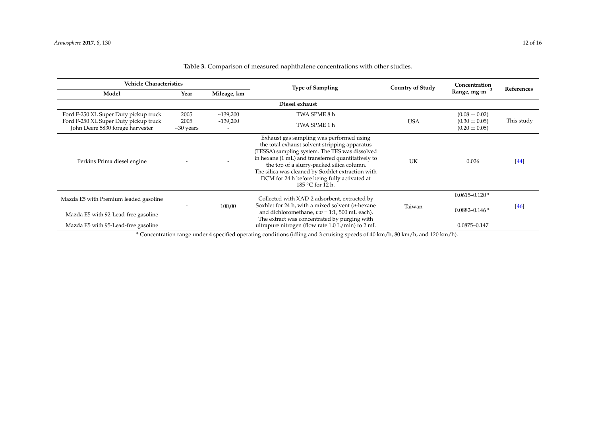| <b>Vehicle Characteristics</b>                                            |                         |                                      | <b>Type of Sampling</b>                                                                                                                                                                                                                                                                                                                                                 | <b>Country of Study</b> | Concentration                          |            |  |  |
|---------------------------------------------------------------------------|-------------------------|--------------------------------------|-------------------------------------------------------------------------------------------------------------------------------------------------------------------------------------------------------------------------------------------------------------------------------------------------------------------------------------------------------------------------|-------------------------|----------------------------------------|------------|--|--|
| Model                                                                     | Year                    | Mileage, km                          |                                                                                                                                                                                                                                                                                                                                                                         |                         | Range, mg $\cdot$ m $^{-3}$            | References |  |  |
| Diesel exhaust                                                            |                         |                                      |                                                                                                                                                                                                                                                                                                                                                                         |                         |                                        |            |  |  |
| Ford F-250 XL Super Duty pickup truck                                     | 2005                    | ~139,200                             | TWA SPME 8 h                                                                                                                                                                                                                                                                                                                                                            |                         | $(0.08 \pm 0.02)$                      |            |  |  |
| Ford F-250 XL Super Duty pickup truck<br>John Deere 5830 forage harvester | 2005<br>$\sim$ 30 years | ~139,200<br>$\overline{\phantom{0}}$ | TWA SPME 1 h                                                                                                                                                                                                                                                                                                                                                            | <b>USA</b>              | $(0.30 \pm 0.05)$<br>$(0.20 \pm 0.05)$ | This study |  |  |
| Perkins Prima diesel engine                                               |                         |                                      | Exhaust gas sampling was performed using<br>the total exhaust solvent stripping apparatus<br>(TESSA) sampling system. The TES was dissolved<br>in hexane (1 mL) and transferred quantitatively to<br>the top of a slurry-packed silica column.<br>The silica was cleaned by Soxhlet extraction with<br>DCM for 24 h before being fully activated at<br>185 °C for 12 h. | UK                      | 0.026                                  | [44]       |  |  |
| Mazda E5 with Premium leaded gasoline                                     |                         | 100,00                               | Collected with XAD-2 adsorbent, extracted by<br>Soxhlet for 24 h, with a mixed solvent $(n$ -hexane                                                                                                                                                                                                                                                                     | Taiwan                  | $0.0615 - 0.120$ *                     | [46]       |  |  |
| Mazda E5 with 92-Lead-free gasoline                                       |                         |                                      | and dichloromethane, $v: v = 1:1$ , 500 mL each).<br>The extract was concentrated by purging with                                                                                                                                                                                                                                                                       |                         | $0.0882 - 0.146*$                      |            |  |  |
| Mazda E5 with 95-Lead-free gasoline                                       |                         |                                      | ultrapure nitrogen (flow rate $1.0 L/min$ ) to $2 mL$                                                                                                                                                                                                                                                                                                                   |                         | $0.0875 - 0.147$                       |            |  |  |

## **Table 3.** Comparison of measured naphthalene concentrations with other studies.

<span id="page-11-0"></span>**\*** Concentration range under 4 specified operating conditions (idling and 3 cruising speeds of 40 km/h, 80 km/h, and 120 km/h).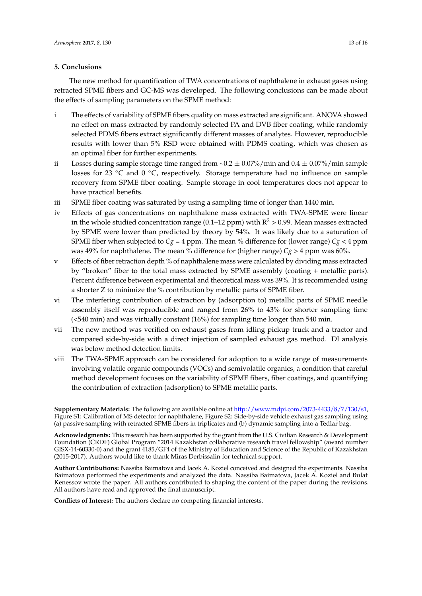## **5. Conclusions**

The new method for quantification of TWA concentrations of naphthalene in exhaust gases using retracted SPME fibers and GC-MS was developed. The following conclusions can be made about the effects of sampling parameters on the SPME method:

- i The effects of variability of SPME fibers quality on mass extracted are significant. ANOVA showed no effect on mass extracted by randomly selected PA and DVB fiber coating, while randomly selected PDMS fibers extract significantly different masses of analytes. However, reproducible results with lower than 5% RSD were obtained with PDMS coating, which was chosen as an optimal fiber for further experiments.
- ii Losses during sample storage time ranged from  $\sim 0.2 \pm 0.07\%$ /min and  $0.4 \pm 0.07\%$ /min sample losses for 23 ◦C and 0 ◦C, respectively. Storage temperature had no influence on sample recovery from SPME fiber coating. Sample storage in cool temperatures does not appear to have practical benefits.
- iii SPME fiber coating was saturated by using a sampling time of longer than 1440 min.
- iv Effects of gas concentrations on naphthalene mass extracted with TWA-SPME were linear in the whole studied concentration range (0.1–12 ppm) with  $R^2 > 0.99$ . Mean masses extracted by SPME were lower than predicted by theory by 54%. It was likely due to a saturation of SPME fiber when subjected to  $Cg = 4$  ppm. The mean % difference for (lower range)  $Cg < 4$  ppm was 49% for naphthalene. The mean % difference for (higher range)  $C_g > 4$  ppm was 60%.
- v Effects of fiber retraction depth % of naphthalene mass were calculated by dividing mass extracted by "broken" fiber to the total mass extracted by SPME assembly (coating + metallic parts). Percent difference between experimental and theoretical mass was 39%. It is recommended using a shorter Z to minimize the % contribution by metallic parts of SPME fiber.
- vi The interfering contribution of extraction by (adsorption to) metallic parts of SPME needle assembly itself was reproducible and ranged from 26% to 43% for shorter sampling time (<540 min) and was virtually constant (16%) for sampling time longer than 540 min.
- vii The new method was verified on exhaust gases from idling pickup truck and a tractor and compared side-by-side with a direct injection of sampled exhaust gas method. DI analysis was below method detection limits.
- viii The TWA-SPME approach can be considered for adoption to a wide range of measurements involving volatile organic compounds (VOCs) and semivolatile organics, a condition that careful method development focuses on the variability of SPME fibers, fiber coatings, and quantifying the contribution of extraction (adsorption) to SPME metallic parts.

**Supplementary Materials:** The following are available online at [http://www.mdpi.com/2073-4433/8/7/130/s1,](http://www.mdpi.com/2073-4433/8/7/130/s1) Figure S1: Calibration of MS detector for naphthalene, Figure S2: Side-by-side vehicle exhaust gas sampling using (a) passive sampling with retracted SPME fibers in triplicates and (b) dynamic sampling into a Tedlar bag.

**Acknowledgments:** This research has been supported by the grant from the U.S. Civilian Research & Development Foundation (CRDF) Global Program "2014 Kazakhstan collaborative research travel fellowship" (award number GISX-14-60330-0) and the grant 4185/GF4 of the Ministry of Education and Science of the Republic of Kazakhstan (2015-2017). Authors would like to thank Miras Derbissalin for technical support.

**Author Contributions:** Nassiba Baimatova and Jacek A. Koziel conceived and designed the experiments. Nassiba Baimatova performed the experiments and analyzed the data. Nassiba Baimatova, Jacek A. Koziel and Bulat Kenessov wrote the paper. All authors contributed to shaping the content of the paper during the revisions. All authors have read and approved the final manuscript.

**Conflicts of Interest:** The authors declare no competing financial interests.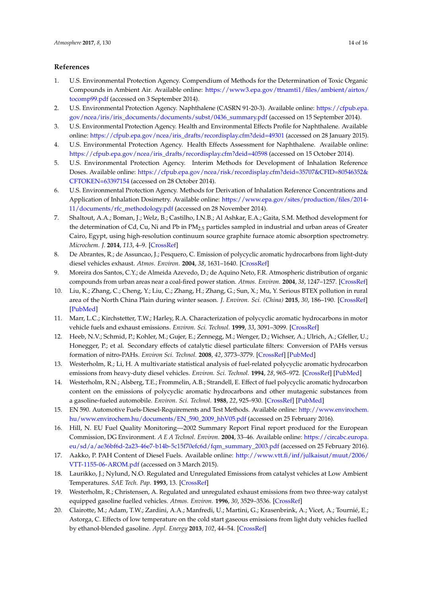#### **References**

- <span id="page-13-0"></span>1. U.S. Environmental Protection Agency. Compendium of Methods for the Determination of Toxic Organic Compounds in Ambient Air. Available online: [https://www3.epa.gov/ttnamti1/files/ambient/airtox/](https://www3.epa.gov/ttnamti1/files/ambient/airtox/tocomp99.pdf) [tocomp99.pdf](https://www3.epa.gov/ttnamti1/files/ambient/airtox/tocomp99.pdf) (accessed on 3 September 2014).
- <span id="page-13-1"></span>2. U.S. Environmental Protection Agency. Naphthalene (CASRN 91-20-3). Available online: [https://cfpub.epa.](https://cfpub.epa.gov/ncea/iris/iris_documents/documents/subst/0436_summary.pdf) [gov/ncea/iris/iris\\_documents/documents/subst/0436\\_summary.pdf](https://cfpub.epa.gov/ncea/iris/iris_documents/documents/subst/0436_summary.pdf) (accessed on 15 September 2014).
- <span id="page-13-2"></span>3. U.S. Environmental Protection Agency. Health and Environmental Effects Profile for Naphthalene. Available online: [https://cfpub.epa.gov/ncea/iris\\_drafts/recordisplay.cfm?deid=49301](https://cfpub.epa.gov/ncea/iris_drafts/recordisplay.cfm?deid=49301) (accessed on 28 January 2015).
- <span id="page-13-3"></span>4. U.S. Environmental Protection Agency. Health Effects Assessment for Naphthalene. Available online: [https://cfpub.epa.gov/ncea/iris\\_drafts/recordisplay.cfm?deid=40598](https://cfpub.epa.gov/ncea/iris_drafts/recordisplay.cfm?deid=40598) (accessed on 15 October 2014).
- <span id="page-13-4"></span>5. U.S. Environmental Protection Agency. Interim Methods for Development of Inhalation Reference Doses. Available online: [https://cfpub.epa.gov/ncea/risk/recordisplay.cfm?deid=35707&CFID=80546352&](https://cfpub.epa.gov/ncea/risk/recordisplay.cfm?deid=35707&CFID=80546352&CFTOKEN=63397154) [CFTOKEN=63397154](https://cfpub.epa.gov/ncea/risk/recordisplay.cfm?deid=35707&CFID=80546352&CFTOKEN=63397154) (accessed on 28 October 2014).
- <span id="page-13-5"></span>6. U.S. Environmental Protection Agency. Methods for Derivation of Inhalation Reference Concentrations and Application of Inhalation Dosimetry. Available online: [https://www.epa.gov/sites/production/files/2014-](https://www.epa.gov/sites/production/files/2014-11/documents/rfc_methodology.pdf) [11/documents/rfc\\_methodology.pdf](https://www.epa.gov/sites/production/files/2014-11/documents/rfc_methodology.pdf) (accessed on 28 November 2014).
- <span id="page-13-6"></span>7. Shaltout, A.A.; Boman, J.; Welz, B.; Castilho, I.N.B.; Al Ashkar, E.A.; Gaita, S.M. Method development for the determination of Cd, Cu, Ni and Pb in PM<sub>2.5</sub> particles sampled in industrial and urban areas of Greater Cairo, Egypt, using high-resolution continuum source graphite furnace atomic absorption spectrometry. *Microchem. J.* **2014**, *113*, 4–9. [\[CrossRef\]](http://dx.doi.org/10.1016/j.microc.2013.10.009)
- <span id="page-13-7"></span>8. De Abrantes, R.; de Assuncao, J.; Pesquero, C. Emission of polycyclic aromatic hydrocarbons from light-duty diesel vehicles exhaust. *Atmos. Environ.* **2004**, *38*, 1631–1640. [\[CrossRef\]](http://dx.doi.org/10.1016/j.atmosenv.2003.11.012)
- <span id="page-13-8"></span>9. Moreira dos Santos, C.Y.; de Almeida Azevedo, D.; de Aquino Neto, F.R. Atmospheric distribution of organic compounds from urban areas near a coal-fired power station. *Atmos. Environ.* **2004**, *38*, 1247–1257. [\[CrossRef\]](http://dx.doi.org/10.1016/j.atmosenv.2003.11.026)
- <span id="page-13-9"></span>10. Liu, K.; Zhang, C.; Cheng, Y.; Liu, C.; Zhang, H.; Zhang, G.; Sun, X.; Mu, Y. Serious BTEX pollution in rural area of the North China Plain during winter season. *J. Environ. Sci. (China)* **2015**, *30*, 186–190. [\[CrossRef\]](http://dx.doi.org/10.1016/j.jes.2014.05.056) [\[PubMed\]](http://www.ncbi.nlm.nih.gov/pubmed/25872726)
- <span id="page-13-10"></span>11. Marr, L.C.; Kirchstetter, T.W.; Harley, R.A. Characterization of polycyclic aromatic hydrocarbons in motor vehicle fuels and exhaust emissions. *Environ. Sci. Technol.* **1999**, *33*, 3091–3099. [\[CrossRef\]](http://dx.doi.org/10.1021/es981227l)
- <span id="page-13-11"></span>12. Heeb, N.V.; Schmid, P.; Kohler, M.; Gujer, E.; Zennegg, M.; Wenger, D.; Wichser, A.; Ulrich, A.; Gfeller, U.; Honegger, P.; et al. Secondary effects of catalytic diesel particulate filters: Conversion of PAHs versus formation of nitro-PAHs. *Environ Sci. Technol.* **2008**, *42*, 3773–3779. [\[CrossRef\]](http://dx.doi.org/10.1021/es7026949) [\[PubMed\]](http://www.ncbi.nlm.nih.gov/pubmed/18546721)
- <span id="page-13-12"></span>13. Westerholm, R.; Li, H. A multivariate statistical analysis of fuel-related polycyclic aromatic hydrocarbon emissions from heavy-duty diesel vehicles. *Environ. Sci. Technol.* **1994**, *28*, 965–972. [\[CrossRef\]](http://dx.doi.org/10.1021/es00054a032) [\[PubMed\]](http://www.ncbi.nlm.nih.gov/pubmed/22191842)
- <span id="page-13-13"></span>14. Westerholm, R.N.; Alsberg, T.E.; Frommelin, A.B.; Strandell, E. Effect of fuel polycyclic aromatic hydrocarbon content on the emissions of polycyclic aromatic hydrocarbons and other mutagenic substances from a gasoline-fueled automobile. *Environ. Sci. Technol.* **1988**, *22*, 925–930. [\[CrossRef\]](http://dx.doi.org/10.1021/es00173a010) [\[PubMed\]](http://www.ncbi.nlm.nih.gov/pubmed/22195714)
- <span id="page-13-14"></span>15. EN 590. Automotive Fuels-Diesel-Requirements and Test Methods. Available online: [http://www.envirochem.](http://www.envirochem.hu/www.envirochem.hu/documents/EN_590_2009_hhV05.pdf) [hu/www.envirochem.hu/documents/EN\\_590\\_2009\\_hhV05.pdf](http://www.envirochem.hu/www.envirochem.hu/documents/EN_590_2009_hhV05.pdf) (accessed on 25 February 2016).
- <span id="page-13-15"></span>16. Hill, N. EU Fuel Quality Monitoring—2002 Summary Report Final report produced for the European Commission, DG Environment. *A E A Technol. Environ.* **2004**, 33–46. Available online: [https://circabc.europa.](https://circabc.europa.eu/sd/a/ae36bf6d-2a23-46e7-b14b-5c15f70efc6d/fqm_summary_2003.pdf) [eu/sd/a/ae36bf6d-2a23-46e7-b14b-5c15f70efc6d/fqm\\_summary\\_2003.pdf](https://circabc.europa.eu/sd/a/ae36bf6d-2a23-46e7-b14b-5c15f70efc6d/fqm_summary_2003.pdf) (accessed on 25 February 2016).
- <span id="page-13-16"></span>17. Aakko, P. PAH Content of Diesel Fuels. Available online: [http://www.vtt.fi/inf/julkaisut/muut/2006/](http://www.vtt.fi/inf/julkaisut/muut/2006/VTT-1155-06-AROM.pdf) [VTT-1155-06-AROM.pdf](http://www.vtt.fi/inf/julkaisut/muut/2006/VTT-1155-06-AROM.pdf) (accessed on 3 March 2015).
- <span id="page-13-17"></span>18. Laurikko, J.; Nylund, N.O. Regulated and Unregulated Emissions from catalyst vehicles at Low Ambient Temperatures. *SAE Tech. Pap.* **1993**, 13. [\[CrossRef\]](http://dx.doi.org/10.4271/930946)
- <span id="page-13-19"></span>19. Westerholm, R.; Christensen, A. Regulated and unregulated exhaust emissions from two three-way catalyst equipped gasoline fuelled vehicles. *Atmos. Environ.* **1996**, *30*, 3529–3536. [\[CrossRef\]](http://dx.doi.org/10.1016/1352-2310(96)00048-9)
- <span id="page-13-18"></span>20. Clairotte, M.; Adam, T.W.; Zardini, A.A.; Manfredi, U.; Martini, G.; Krasenbrink, A.; Vicet, A.; Tournié, E.; Astorga, C. Effects of low temperature on the cold start gaseous emissions from light duty vehicles fuelled by ethanol-blended gasoline. *Appl. Energy* **2013**, *102*, 44–54. [\[CrossRef\]](http://dx.doi.org/10.1016/j.apenergy.2012.08.010)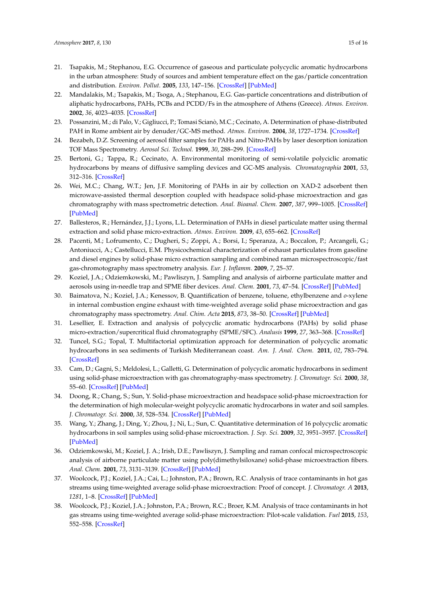- <span id="page-14-0"></span>21. Tsapakis, M.; Stephanou, E.G. Occurrence of gaseous and particulate polycyclic aromatic hydrocarbons in the urban atmosphere: Study of sources and ambient temperature effect on the gas/particle concentration and distribution. *Environ. Pollut.* **2005**, *133*, 147–156. [\[CrossRef\]](http://dx.doi.org/10.1016/j.envpol.2004.05.012) [\[PubMed\]](http://www.ncbi.nlm.nih.gov/pubmed/15327865)
- <span id="page-14-1"></span>22. Mandalakis, M.; Tsapakis, M.; Tsoga, A.; Stephanou, E.G. Gas-particle concentrations and distribution of aliphatic hydrocarbons, PAHs, PCBs and PCDD/Fs in the atmosphere of Athens (Greece). *Atmos. Environ.* **2002**, *36*, 4023–4035. [\[CrossRef\]](http://dx.doi.org/10.1016/S1352-2310(02)00362-X)
- <span id="page-14-2"></span>23. Possanzini, M.; di Palo, V.; Gigliucci, P.; Tomasi Scianò, M.C.; Cecinato, A. Determination of phase-distributed PAH in Rome ambient air by denuder/GC-MS method. *Atmos. Environ.* **2004**, *38*, 1727–1734. [\[CrossRef\]](http://dx.doi.org/10.1016/j.atmosenv.2003.12.024)
- <span id="page-14-3"></span>24. Bezabeh, D.Z. Screening of aerosol filter samples for PAHs and Nitro-PAHs by laser desorption ionization TOF Mass Spectrometry. *Aerosol Sci. Technol.* **1999**, *30*, 288–299. [\[CrossRef\]](http://dx.doi.org/10.1080/027868299304642)
- <span id="page-14-4"></span>25. Bertoni, G.; Tappa, R.; Cecinato, A. Environmental monitoring of semi-volatile polyciclic aromatic hydrocarbons by means of diffusive sampling devices and GC-MS analysis. *Chromatographia* **2001**, *53*, 312–316. [\[CrossRef\]](http://dx.doi.org/10.1007/BF02490348)
- <span id="page-14-5"></span>26. Wei, M.C.; Chang, W.T.; Jen, J.F. Monitoring of PAHs in air by collection on XAD-2 adsorbent then microwave-assisted thermal desorption coupled with headspace solid-phase microextraction and gas chromatography with mass spectrometric detection. *Anal. Bioanal. Chem.* **2007**, *387*, 999–1005. [\[CrossRef\]](http://dx.doi.org/10.1007/s00216-006-0962-8) [\[PubMed\]](http://www.ncbi.nlm.nih.gov/pubmed/17200847)
- <span id="page-14-6"></span>27. Ballesteros, R.; Hernández, J.J.; Lyons, L.L. Determination of PAHs in diesel particulate matter using thermal extraction and solid phase micro-extraction. *Atmos. Environ.* **2009**, *43*, 655–662. [\[CrossRef\]](http://dx.doi.org/10.1016/j.atmosenv.2008.10.015)
- <span id="page-14-7"></span>28. Pacenti, M.; Lofrumento, C.; Dugheri, S.; Zoppi, A.; Borsi, I.; Speranza, A.; Boccalon, P.; Arcangeli, G.; Antoniucci, A.; Castellucci, E.M. Physicochemical characterization of exhaust particulates from gasoline and diesel engines by solid-phase micro extraction sampling and combined raman microspectroscopic/fast gas-chromotography mass spectrometry analysis. *Eur. J. Inflamm.* **2009**, *7*, 25–37.
- <span id="page-14-8"></span>29. Koziel, J.A.; Odziemkowski, M.; Pawliszyn, J. Sampling and analysis of airborne particulate matter and aerosols using in-needle trap and SPME fiber devices. *Anal. Chem.* **2001**, *73*, 47–54. [\[CrossRef\]](http://dx.doi.org/10.1021/ac000835s) [\[PubMed\]](http://www.ncbi.nlm.nih.gov/pubmed/11195511)
- <span id="page-14-9"></span>30. Baimatova, N.; Koziel, J.A.; Kenessov, B. Quantification of benzene, toluene, ethylbenzene and *o*-xylene in internal combustion engine exhaust with time-weighted average solid phase microextraction and gas chromatography mass spectrometry. *Anal. Chim. Acta* **2015**, *873*, 38–50. [\[CrossRef\]](http://dx.doi.org/10.1016/j.aca.2015.02.062) [\[PubMed\]](http://www.ncbi.nlm.nih.gov/pubmed/25911428)
- <span id="page-14-10"></span>31. Lesellier, E. Extraction and analysis of polycyclic aromatic hydrocarbons (PAHs) by solid phase micro-extraction/supercritical fluid chromatography (SPME/SFC). *Analusis* **1999**, *27*, 363–368. [\[CrossRef\]](http://dx.doi.org/10.1051/analusis:1999120)
- <span id="page-14-11"></span>32. Tuncel, S.G.; Topal, T. Multifactorial optimization approach for determination of polycyclic aromatic hydrocarbons in sea sediments of Turkish Mediterranean coast. *Am. J. Anal. Chem.* **2011**, *02*, 783–794. [\[CrossRef\]](http://dx.doi.org/10.4236/ajac.2011.27090)
- 33. Cam, D.; Gagni, S.; Meldolesi, L.; Galletti, G. Determination of polycyclic aromatic hydrocarbons in sediment using solid-phase microextraction with gas chromatography-mass spectrometry. *J. Chromatogr. Sci.* **2000**, *38*, 55–60. [\[CrossRef\]](http://dx.doi.org/10.1093/chromsci/38.2.55) [\[PubMed\]](http://www.ncbi.nlm.nih.gov/pubmed/10677833)
- 34. Doong, R.; Chang, S.; Sun, Y. Solid-phase microextraction and headspace solid-phase microextraction for the determination of high molecular-weight polycyclic aromatic hydrocarbons in water and soil samples. *J. Chromatogr. Sci.* **2000**, *38*, 528–534. [\[CrossRef\]](http://dx.doi.org/10.1093/chromsci/38.12.528) [\[PubMed\]](http://www.ncbi.nlm.nih.gov/pubmed/11144512)
- <span id="page-14-12"></span>35. Wang, Y.; Zhang, J.; Ding, Y.; Zhou, J.; Ni, L.; Sun, C. Quantitative determination of 16 polycyclic aromatic hydrocarbons in soil samples using solid-phase microextraction. *J. Sep. Sci.* **2009**, *32*, 3951–3957. [\[CrossRef\]](http://dx.doi.org/10.1002/jssc.200900420) [\[PubMed\]](http://www.ncbi.nlm.nih.gov/pubmed/19842124)
- <span id="page-14-13"></span>36. Odziemkowski, M.; Koziel, J. A.; Irish, D.E.; Pawliszyn, J. Sampling and raman confocal microspectroscopic analysis of airborne particulate matter using poly(dimethylsiloxane) solid-phase microextraction fibers. *Anal. Chem.* **2001**, *73*, 3131–3139. [\[CrossRef\]](http://dx.doi.org/10.1021/ac001141m) [\[PubMed\]](http://www.ncbi.nlm.nih.gov/pubmed/11467564)
- <span id="page-14-14"></span>37. Woolcock, P.J.; Koziel, J.A.; Cai, L.; Johnston, P.A.; Brown, R.C. Analysis of trace contaminants in hot gas streams using time-weighted average solid-phase microextraction: Proof of concept. *J. Chromatogr. A* **2013**, *1281*, 1–8. [\[CrossRef\]](http://dx.doi.org/10.1016/j.chroma.2013.01.036) [\[PubMed\]](http://www.ncbi.nlm.nih.gov/pubmed/23398991)
- <span id="page-14-15"></span>38. Woolcock, P.J.; Koziel, J.A.; Johnston, P.A.; Brown, R.C.; Broer, K.M. Analysis of trace contaminants in hot gas streams using time-weighted average solid-phase microextraction: Pilot-scale validation. *Fuel* **2015**, *153*, 552–558. [\[CrossRef\]](http://dx.doi.org/10.1016/j.fuel.2015.02.101)